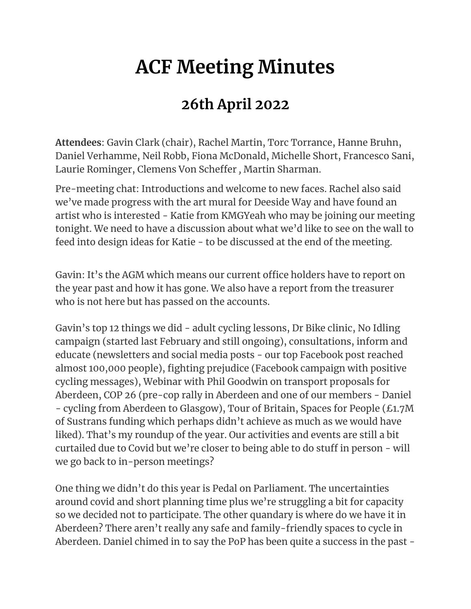# **ACF Meeting Minutes**

## **26th April 2022**

**Attendees**: Gavin Clark (chair), Rachel Martin, Torc Torrance, Hanne Bruhn, Daniel Verhamme, Neil Robb, Fiona McDonald, Michelle Short, Francesco Sani, Laurie Rominger, Clemens Von Scheffer *,* Martin Sharman.

Pre-meeting chat: Introductions and welcome to new faces. Rachel also said we've made progress with the art mural for Deeside Way and have found an artist who is interested - Katie from KMGYeah who may be joining our meeting tonight. We need to have a discussion about what we'd like to see on the wall to feed into design ideas for Katie - to be discussed at the end of the meeting.

Gavin: It's the AGM which means our current office holders have to report on the year past and how it has gone. We also have a report from the treasurer who is not here but has passed on the accounts.

Gavin's top 12 things we did - adult cycling lessons, Dr Bike clinic, No Idling campaign (started last February and still ongoing), consultations, inform and educate (newsletters and social media posts - our top Facebook post reached almost 100,000 people), fighting prejudice (Facebook campaign with positive cycling messages), Webinar with Phil Goodwin on transport proposals for Aberdeen, COP 26 (pre-cop rally in Aberdeen and one of our members - Daniel - cycling from Aberdeen to Glasgow), Tour of Britain, Spaces for People (£1.7M of Sustrans funding which perhaps didn't achieve as much as we would have liked). That's my roundup of the year. Our activities and events are still a bit curtailed due to Covid but we're closer to being able to do stuff in person - will we go back to in-person meetings?

One thing we didn't do this year is Pedal on Parliament. The uncertainties around covid and short planning time plus we're struggling a bit for capacity so we decided not to participate. The other quandary is where do we have it in Aberdeen? There aren't really any safe and family-friendly spaces to cycle in Aberdeen. Daniel chimed in to say the PoP has been quite a success in the past -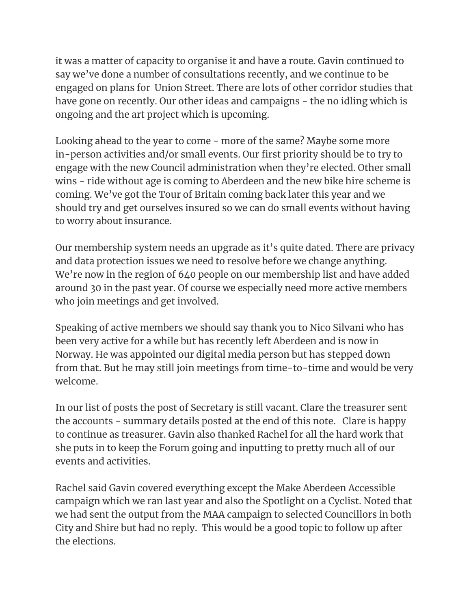it was a matter of capacity to organise it and have a route. Gavin continued to say we've done a number of consultations recently, and we continue to be engaged on plans for Union Street. There are lots of other corridor studies that have gone on recently. Our other ideas and campaigns - the no idling which is ongoing and the art project which is upcoming.

Looking ahead to the year to come - more of the same? Maybe some more in-person activities and/or small events. Our first priority should be to try to engage with the new Council administration when they're elected. Other small wins - ride without age is coming to Aberdeen and the new bike hire scheme is coming. We've got the Tour of Britain coming back later this year and we should try and get ourselves insured so we can do small events without having to worry about insurance.

Our membership system needs an upgrade as it's quite dated. There are privacy and data protection issues we need to resolve before we change anything. We're now in the region of 640 people on our membership list and have added around 30 in the past year. Of course we especially need more active members who join meetings and get involved.

Speaking of active members we should say thank you to Nico Silvani who has been very active for a while but has recently left Aberdeen and is now in Norway. He was appointed our digital media person but has stepped down from that. But he may still join meetings from time-to-time and would be very welcome.

In our list of posts the post of Secretary is still vacant. Clare the treasurer sent the accounts - summary details posted at the end of this note. Clare is happy to continue as treasurer. Gavin also thanked Rachel for all the hard work that she puts in to keep the Forum going and inputting to pretty much all of our events and activities.

Rachel said Gavin covered everything except the Make Aberdeen Accessible campaign which we ran last year and also the Spotlight on a Cyclist. Noted that we had sent the output from the MAA campaign to selected Councillors in both City and Shire but had no reply. This would be a good topic to follow up after the elections.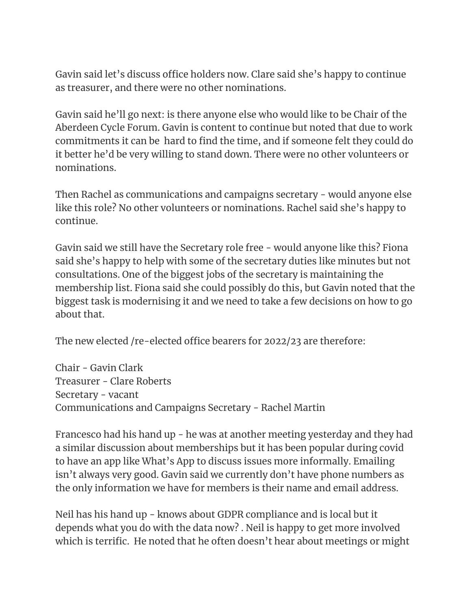Gavin said let's discuss office holders now. Clare said she's happy to continue as treasurer, and there were no other nominations.

Gavin said he'll go next: is there anyone else who would like to be Chair of the Aberdeen Cycle Forum. Gavin is content to continue but noted that due to work commitments it can be hard to find the time, and if someone felt they could do it better he'd be very willing to stand down. There were no other volunteers or nominations.

Then Rachel as communications and campaigns secretary - would anyone else like this role? No other volunteers or nominations. Rachel said she's happy to continue.

Gavin said we still have the Secretary role free - would anyone like this? Fiona said she's happy to help with some of the secretary duties like minutes but not consultations. One of the biggest jobs of the secretary is maintaining the membership list. Fiona said she could possibly do this, but Gavin noted that the biggest task is modernising it and we need to take a few decisions on how to go about that.

The new elected /re-elected office bearers for 2022/23 are therefore:

Chair - Gavin Clark Treasurer - Clare Roberts Secretary - vacant Communications and Campaigns Secretary - Rachel Martin

Francesco had his hand up - he was at another meeting yesterday and they had a similar discussion about memberships but it has been popular during covid to have an app like What's App to discuss issues more informally. Emailing isn't always very good. Gavin said we currently don't have phone numbers as the only information we have for members is their name and email address.

Neil has his hand up - knows about GDPR compliance and is local but it depends what you do with the data now? . Neil is happy to get more involved which is terrific. He noted that he often doesn't hear about meetings or might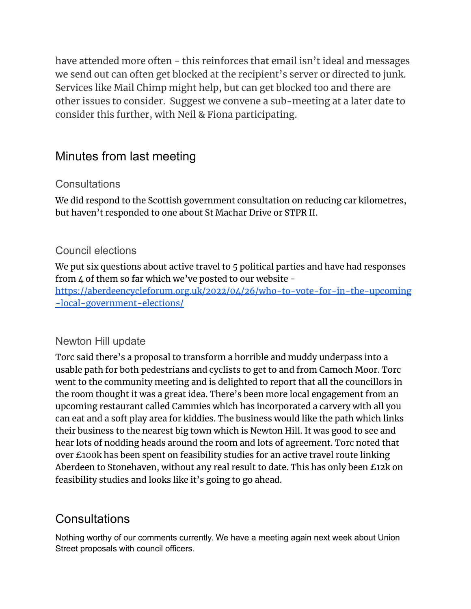have attended more often - this reinforces that email isn't ideal and messages we send out can often get blocked at the recipient's server or directed to junk. Services like Mail Chimp might help, but can get blocked too and there are other issues to consider. Suggest we convene a sub-meeting at a later date to consider this further, with Neil & Fiona participating.

## Minutes from last meeting

#### **Consultations**

We did respond to the Scottish government consultation on reducing car kilometres, but haven't responded to one about St Machar Drive or STPR II.

#### Council elections

We put six questions about active travel to 5 political parties and have had responses from 4 of them so far which we've posted to our website [https://aberdeencycleforum.org.uk/2022/04/26/who-to-vote-for-in-the-upcoming](https://aberdeencycleforum.org.uk/2022/04/26/who-to-vote-for-in-the-upcoming-local-government-elections/) [-local-government-elections/](https://aberdeencycleforum.org.uk/2022/04/26/who-to-vote-for-in-the-upcoming-local-government-elections/)

#### Newton Hill update

Torc said there's a proposal to transform a horrible and muddy underpass into a usable path for both pedestrians and cyclists to get to and from Camoch Moor. Torc went to the community meeting and is delighted to report that all the councillors in the room thought it was a great idea. There's been more local engagement from an upcoming restaurant called Cammies which has incorporated a carvery with all you can eat and a soft play area for kiddies. The business would like the path which links their business to the nearest big town which is Newton Hill. It was good to see and hear lots of nodding heads around the room and lots of agreement. Torc noted that over £100k has been spent on feasibility studies for an active travel route linking Aberdeen to Stonehaven, without any real result to date. This has only been £12k on feasibility studies and looks like it's going to go ahead.

## **Consultations**

Nothing worthy of our comments currently. We have a meeting again next week about Union Street proposals with council officers.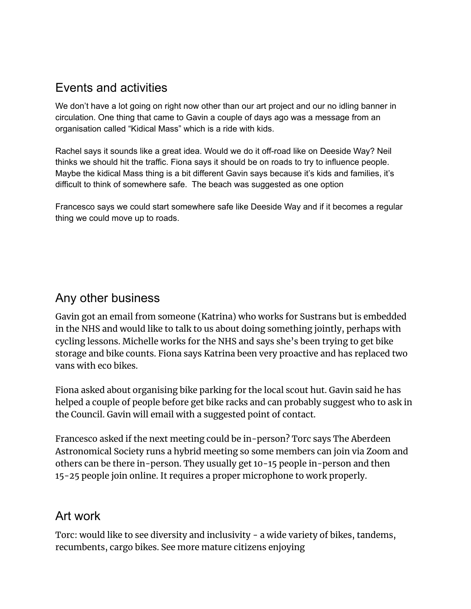### Events and activities

We don't have a lot going on right now other than our art project and our no idling banner in circulation. One thing that came to Gavin a couple of days ago was a message from an organisation called "Kidical Mass" which is a ride with kids.

Rachel says it sounds like a great idea. Would we do it off-road like on Deeside Way? Neil thinks we should hit the traffic. Fiona says it should be on roads to try to influence people. Maybe the kidical Mass thing is a bit different Gavin says because it's kids and families, it's difficult to think of somewhere safe. The beach was suggested as one option

Francesco says we could start somewhere safe like Deeside Way and if it becomes a regular thing we could move up to roads.

#### Any other business

Gavin got an email from someone (Katrina) who works for Sustrans but is embedded in the NHS and would like to talk to us about doing something jointly, perhaps with cycling lessons. Michelle works for the NHS and says she's been trying to get bike storage and bike counts. Fiona says Katrina been very proactive and has replaced two vans with eco bikes.

Fiona asked about organising bike parking for the local scout hut. Gavin said he has helped a couple of people before get bike racks and can probably suggest who to ask in the Council. Gavin will email with a suggested point of contact.

Francesco asked if the next meeting could be in-person? Torc says The Aberdeen Astronomical Society runs a hybrid meeting so some members can join via Zoom and others can be there in-person. They usually get 10-15 people in-person and then 15-25 people join online. It requires a proper microphone to work properly.

## Art work

Torc: would like to see diversity and inclusivity - a wide variety of bikes, tandems, recumbents, cargo bikes. See more mature citizens enjoying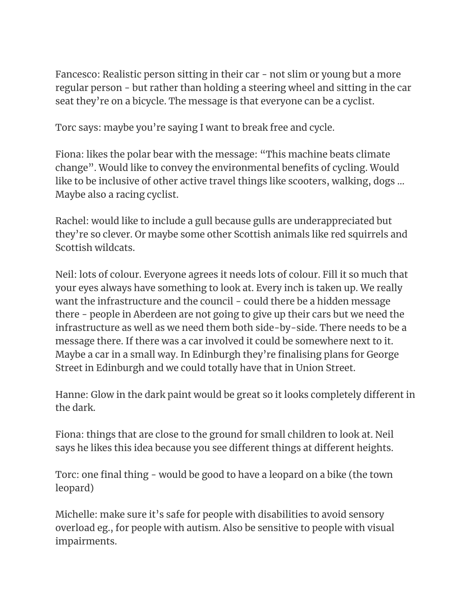Fancesco: Realistic person sitting in their car - not slim or young but a more regular person - but rather than holding a steering wheel and sitting in the car seat they're on a bicycle. The message is that everyone can be a cyclist.

Torc says: maybe you're saying I want to break free and cycle.

Fiona: likes the polar bear with the message: "This machine beats climate change". Would like to convey the environmental benefits of cycling. Would like to be inclusive of other active travel things like scooters, walking, dogs … Maybe also a racing cyclist.

Rachel: would like to include a gull because gulls are underappreciated but they're so clever. Or maybe some other Scottish animals like red squirrels and Scottish wildcats.

Neil: lots of colour. Everyone agrees it needs lots of colour. Fill it so much that your eyes always have something to look at. Every inch is taken up. We really want the infrastructure and the council - could there be a hidden message there - people in Aberdeen are not going to give up their cars but we need the infrastructure as well as we need them both side-by-side. There needs to be a message there. If there was a car involved it could be somewhere next to it. Maybe a car in a small way. In Edinburgh they're finalising plans for George Street in Edinburgh and we could totally have that in Union Street.

Hanne: Glow in the dark paint would be great so it looks completely different in the dark.

Fiona: things that are close to the ground for small children to look at. Neil says he likes this idea because you see different things at different heights.

Torc: one final thing - would be good to have a leopard on a bike (the town leopard)

Michelle: make sure it's safe for people with disabilities to avoid sensory overload eg., for people with autism. Also be sensitive to people with visual impairments.